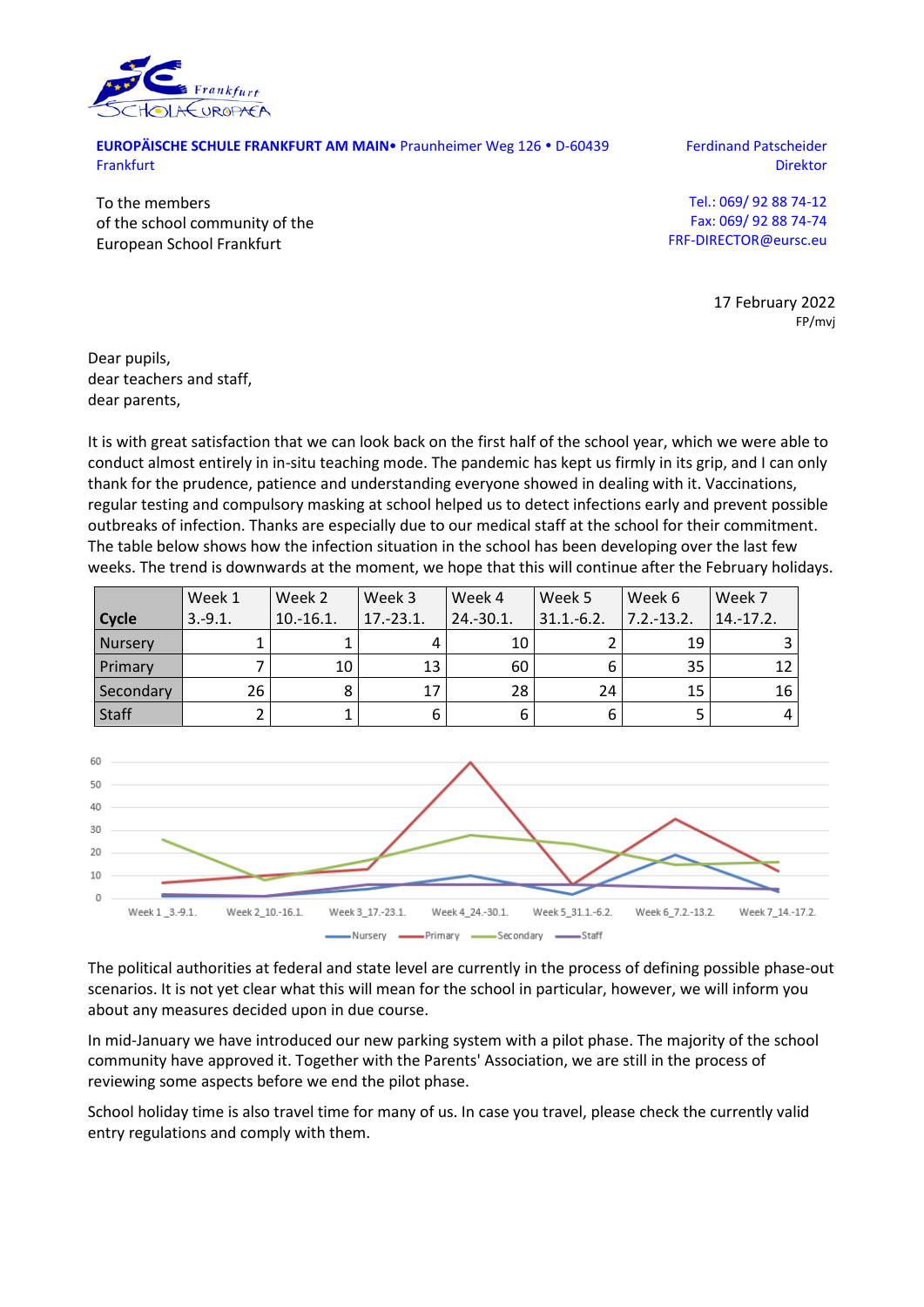

**EUROPÄISCHE SCHULE FRANKFURT AM MAIN** Praunheimer Weg 126 · D-60439 Frankfurt

Ferdinand Patscheider Direktor

To the members of the school community of the European School Frankfurt

Tel.: 069/ 92 88 74-12 Fax: 069/ 92 88 74-74 FRF-DIRECTOR@eursc.eu

> 17 February 2022 FP/mvj

Dear pupils, dear teachers and staff, dear parents,

It is with great satisfaction that we can look back on the first half of the school year, which we were able to conduct almost entirely in in-situ teaching mode. The pandemic has kept us firmly in its grip, and I can only thank for the prudence, patience and understanding everyone showed in dealing with it. Vaccinations, regular testing and compulsory masking at school helped us to detect infections early and prevent possible outbreaks of infection. Thanks are especially due to our medical staff at the school for their commitment. The table below shows how the infection situation in the school has been developing over the last few weeks. The trend is downwards at the moment, we hope that this will continue after the February holidays.

|                | Week 1          | Week 2      | Week 3      | Week 4       | Week 5         | Week 6        | Week 7      |
|----------------|-----------------|-------------|-------------|--------------|----------------|---------------|-------------|
| <b>Cycle</b>   | $3.-9.1.$       | $10.-16.1.$ | $17.-23.1.$ | $24.-30.1$ . | $31.1 - 6.2$ . | $7.2 - 13.2.$ | $14.-17.2.$ |
| <b>Nurserv</b> |                 |             |             | 10           |                | 19            |             |
| Primary        |                 | 10          | 13          | 60           |                | 35            | 12          |
| Secondary      | 26 <sub>1</sub> |             | 17          | 28           | 24             | 15            | 16          |
| Staff          |                 |             | 6           | ь            |                |               |             |



The political authorities at federal and state level are currently in the process of defining possible phase-out scenarios. It is not yet clear what this will mean for the school in particular, however, we will inform you about any measures decided upon in due course.

In mid-January we have introduced our new parking system with a pilot phase. The majority of the school community have approved it. Together with the Parents' Association, we are still in the process of reviewing some aspects before we end the pilot phase.

School holiday time is also travel time for many of us. In case you travel, please check the currently valid entry regulations and comply with them.